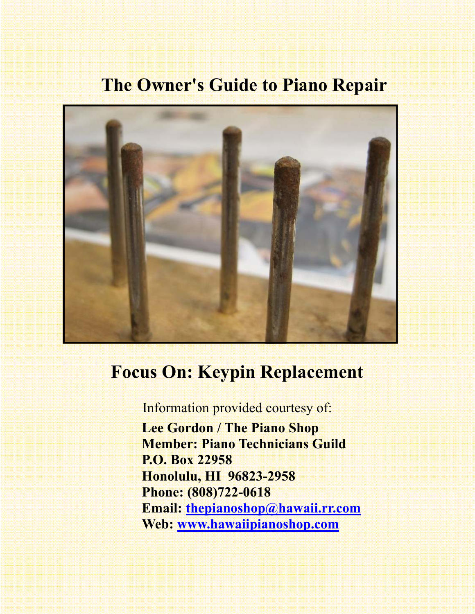# **The Owner's Guide to Piano Repair**



# **Focus On: Keypin Replacement**

Information provided courtesy of:

 **Lee Gordon / The Piano Shop Member: Piano Technicians Guild P.O. Box 22958 Honolulu, HI 96823-2958 Phone: (808)722-0618 Email: thepianoshop@hawaii.rr.com Web: www.hawaiipianoshop.com**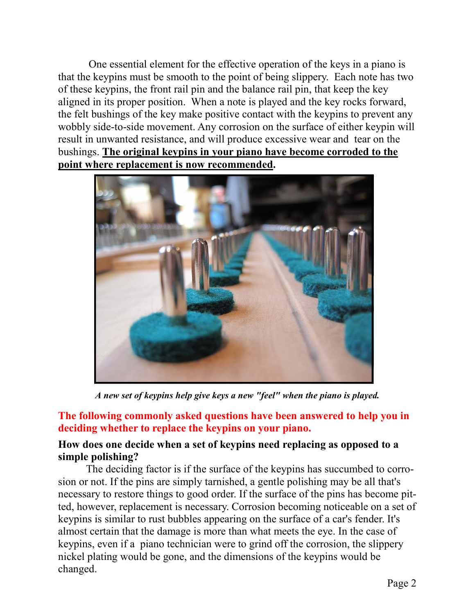One essential element for the effective operation of the keys in a piano is that the keypins must be smooth to the point of being slippery. Each note has two of these keypins, the front rail pin and the balance rail pin, that keep the key aligned in its proper position. When a note is played and the key rocks forward, the felt bushings of the key make positive contact with the keypins to prevent any wobbly side-to-side movement. Any corrosion on the surface of either keypin will result in unwanted resistance, and will produce excessive wear and tear on the bushings. **The original keypins in your piano have become corroded to the point where replacement is now recommended.** 



*A new set of keypins help give keys a new "feel" when the piano is played.* 

# **The following commonly asked questions have been answered to help you in deciding whether to replace the keypins on your piano.**

## **How does one decide when a set of keypins need replacing as opposed to a simple polishing?**

The deciding factor is if the surface of the keypins has succumbed to corrosion or not. If the pins are simply tarnished, a gentle polishing may be all that's necessary to restore things to good order. If the surface of the pins has become pitted, however, replacement is necessary. Corrosion becoming noticeable on a set of keypins is similar to rust bubbles appearing on the surface of a car's fender. It's almost certain that the damage is more than what meets the eye. In the case of keypins, even if a piano technician were to grind off the corrosion, the slippery nickel plating would be gone, and the dimensions of the keypins would be changed.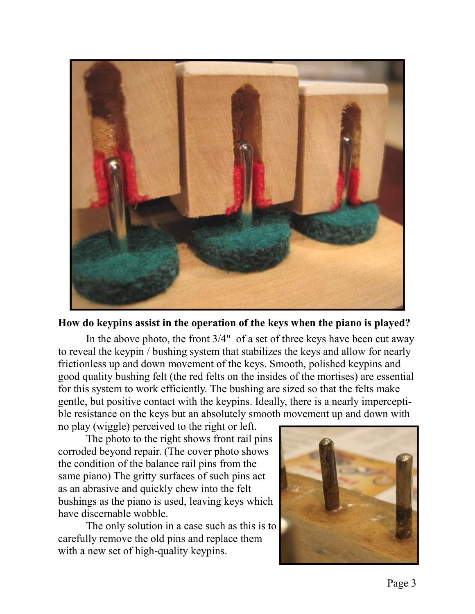

#### **How do keypins assist in the operation of the keys when the piano is played?**

 In the above photo, the front 3/4" of a set of three keys have been cut away to reveal the keypin / bushing system that stabilizes the keys and allow for nearly frictionless up and down movement of the keys. Smooth, polished keypins and good quality bushing felt (the red felts on the insides of the mortises) are essential for this system to work efficiently. The bushing are sized so that the felts make gentle, but positive contact with the keypins. Ideally, there is a nearly imperceptible resistance on the keys but an absolutely smooth movement up and down with

no play (wiggle) perceived to the right or left.

 The photo to the right shows front rail pins corroded beyond repair. (The cover photo shows the condition of the balance rail pins from the same piano) The gritty surfaces of such pins act as an abrasive and quickly chew into the felt bushings as the piano is used, leaving keys which have discernable wobble.

 The only solution in a case such as this is to carefully remove the old pins and replace them with a new set of high-quality keypins.

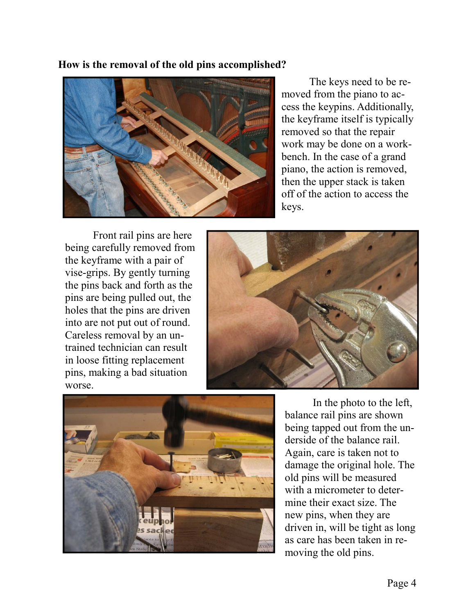### **How is the removal of the old pins accomplished?**



 The keys need to be removed from the piano to access the keypins. Additionally, the keyframe itself is typically removed so that the repair work may be done on a workbench. In the case of a grand piano, the action is removed, then the upper stack is taken off of the action to access the keys.

Front rail pins are here being carefully removed from the keyframe with a pair of vise-grips. By gently turning the pins back and forth as the pins are being pulled out, the holes that the pins are driven into are not put out of round. Careless removal by an untrained technician can result in loose fitting replacement pins, making a bad situation worse.





In the photo to the left, balance rail pins are shown being tapped out from the underside of the balance rail. Again, care is taken not to damage the original hole. The old pins will be measured with a micrometer to determine their exact size. The new pins, when they are driven in, will be tight as long as care has been taken in removing the old pins.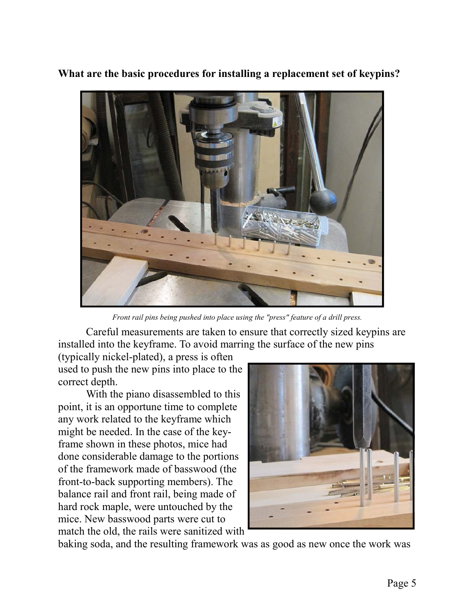**What are the basic procedures for installing a replacement set of keypins?** 



*Front rail pins being pushed into place using the "press" feature of a drill press.* 

 Careful measurements are taken to ensure that correctly sized keypins are installed into the keyframe. To avoid marring the surface of the new pins

(typically nickel-plated), a press is often used to push the new pins into place to the correct depth.

 With the piano disassembled to this point, it is an opportune time to complete any work related to the keyframe which might be needed. In the case of the keyframe shown in these photos, mice had done considerable damage to the portions of the framework made of basswood (the front-to-back supporting members). The balance rail and front rail, being made of hard rock maple, were untouched by the mice. New basswood parts were cut to match the old, the rails were sanitized with



baking soda, and the resulting framework was as good as new once the work was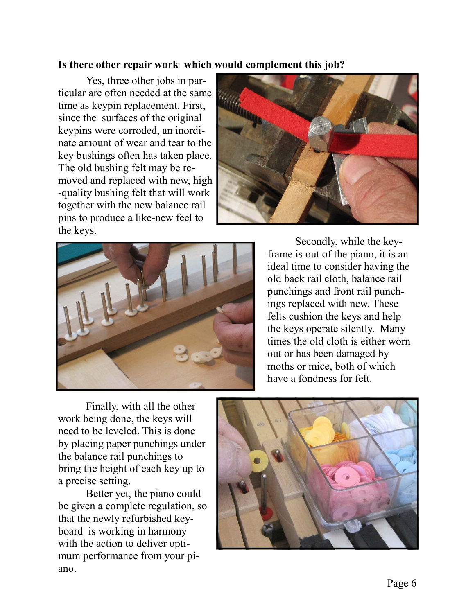## **Is there other repair work which would complement this job?**

 Yes, three other jobs in particular are often needed at the same time as keypin replacement. First, since the surfaces of the original keypins were corroded, an inordinate amount of wear and tear to the key bushings often has taken place. The old bushing felt may be removed and replaced with new, high -quality bushing felt that will work together with the new balance rail pins to produce a like-new feel to the keys.





 Secondly, while the keyframe is out of the piano, it is an ideal time to consider having the old back rail cloth, balance rail punchings and front rail punchings replaced with new. These felts cushion the keys and help the keys operate silently. Many times the old cloth is either worn out or has been damaged by moths or mice, both of which have a fondness for felt.

 Finally, with all the other work being done, the keys will need to be leveled. This is done by placing paper punchings under the balance rail punchings to bring the height of each key up to a precise setting.

 Better yet, the piano could be given a complete regulation, so that the newly refurbished keyboard is working in harmony with the action to deliver optimum performance from your piano.